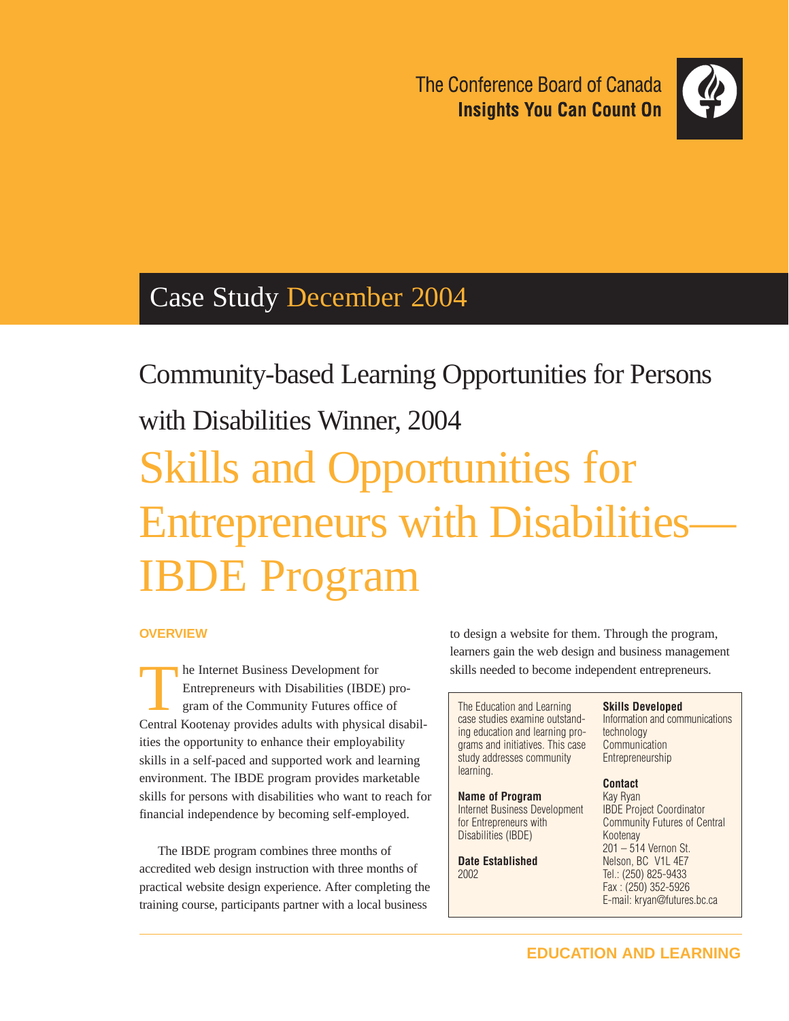The Conference Board of Canada **Insights You Can Count On** 



## Case Study December 2004

Community-based Learning Opportunities for Persons with Disabilities Winner, 2004 Skills and Opportunities for Entrepreneurs with Disabilities— IBDE Program

### **OVERVIEW**

The Internet Business Development for<br>Entrepreneurs with Disabilities (IBDE<br>gram of the Community Futures office<br>Control Kostonov provides adults with physics Entrepreneurs with Disabilities (IBDE) program of the Community Futures office of Central Kootenay provides adults with physical disabilities the opportunity to enhance their employability skills in a self-paced and supported work and learning environment. The IBDE program provides marketable skills for persons with disabilities who want to reach for financial independence by becoming self-employed.

The IBDE program combines three months of accredited web design instruction with three months of practical website design experience. After completing the training course, participants partner with a local business

to design a website for them. Through the program, learners gain the web design and business management skills needed to become independent entrepreneurs.

The Education and Learning case studies examine outstanding education and learning programs and initiatives. This case study addresses community learning.

#### **Name of Program**

Internet Business Development for Entrepreneurs with Disabilities (IBDE)

**Date Established** 2002

#### **Skills Developed**

Information and communications technology Communication **Entrepreneurship** 

#### **Contact**

Kay Ryan IBDE Project Coordinator Community Futures of Central Kootenay 201 – 514 Vernon St. Nelson, BC V1L 4E7 Tel.: (250) 825-9433 Fax : (250) 352-5926 E-mail: kryan@futures.bc.ca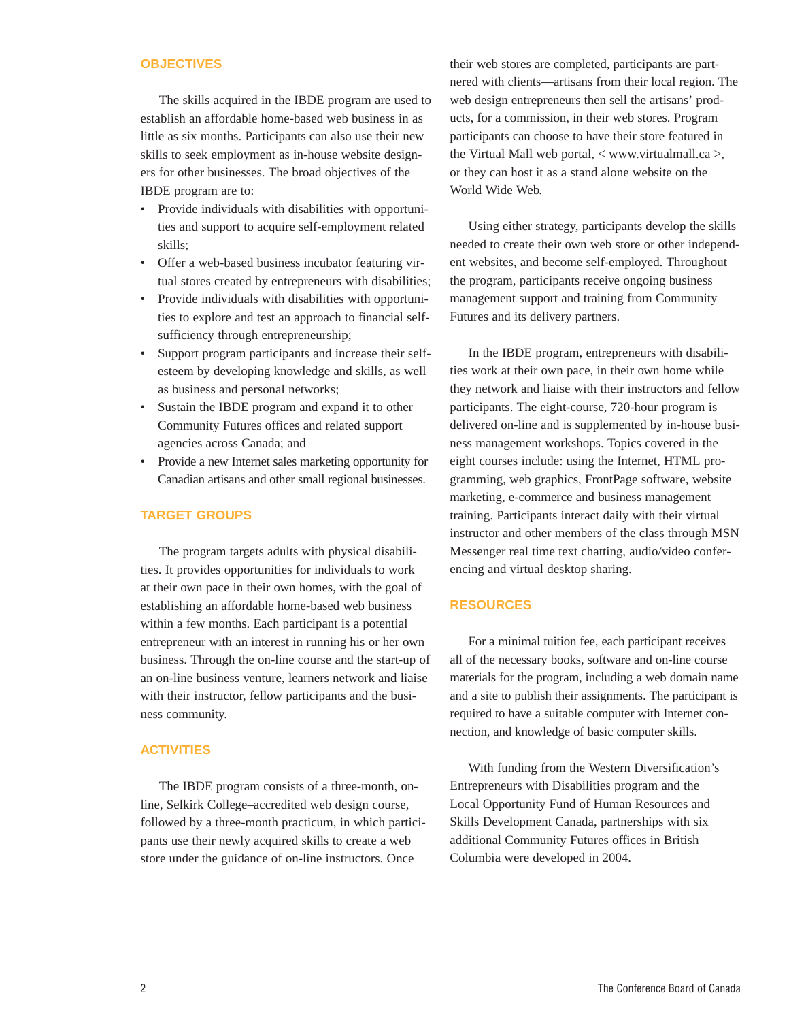#### **OBJECTIVES**

The skills acquired in the IBDE program are used to establish an affordable home-based web business in as little as six months. Participants can also use their new skills to seek employment as in-house website designers for other businesses. The broad objectives of the IBDE program are to:

- Provide individuals with disabilities with opportunities and support to acquire self-employment related skills;
- Offer a web-based business incubator featuring virtual stores created by entrepreneurs with disabilities;
- Provide individuals with disabilities with opportunities to explore and test an approach to financial selfsufficiency through entrepreneurship;
- Support program participants and increase their selfesteem by developing knowledge and skills, as well as business and personal networks;
- Sustain the IBDE program and expand it to other Community Futures offices and related support agencies across Canada; and
- Provide a new Internet sales marketing opportunity for Canadian artisans and other small regional businesses.

#### **TARGET GROUPS**

The program targets adults with physical disabilities. It provides opportunities for individuals to work at their own pace in their own homes, with the goal of establishing an affordable home-based web business within a few months. Each participant is a potential entrepreneur with an interest in running his or her own business. Through the on-line course and the start-up of an on-line business venture, learners network and liaise with their instructor, fellow participants and the business community.

#### **ACTIVITIES**

The IBDE program consists of a three-month, online, Selkirk College–accredited web design course, followed by a three-month practicum, in which participants use their newly acquired skills to create a web store under the guidance of on-line instructors. Once

their web stores are completed, participants are partnered with clients—artisans from their local region. The web design entrepreneurs then sell the artisans' products, for a commission, in their web stores. Program participants can choose to have their store featured in the Virtual Mall web portal, < www.virtualmall.ca >, or they can host it as a stand alone website on the World Wide Web.

Using either strategy, participants develop the skills needed to create their own web store or other independent websites, and become self-employed. Throughout the program, participants receive ongoing business management support and training from Community Futures and its delivery partners.

In the IBDE program, entrepreneurs with disabilities work at their own pace, in their own home while they network and liaise with their instructors and fellow participants. The eight-course, 720-hour program is delivered on-line and is supplemented by in-house business management workshops. Topics covered in the eight courses include: using the Internet, HTML programming, web graphics, FrontPage software, website marketing, e-commerce and business management training. Participants interact daily with their virtual instructor and other members of the class through MSN Messenger real time text chatting, audio/video conferencing and virtual desktop sharing.

#### **RESOURCES**

For a minimal tuition fee, each participant receives all of the necessary books, software and on-line course materials for the program, including a web domain name and a site to publish their assignments. The participant is required to have a suitable computer with Internet connection, and knowledge of basic computer skills.

With funding from the Western Diversification's Entrepreneurs with Disabilities program and the Local Opportunity Fund of Human Resources and Skills Development Canada, partnerships with six additional Community Futures offices in British Columbia were developed in 2004.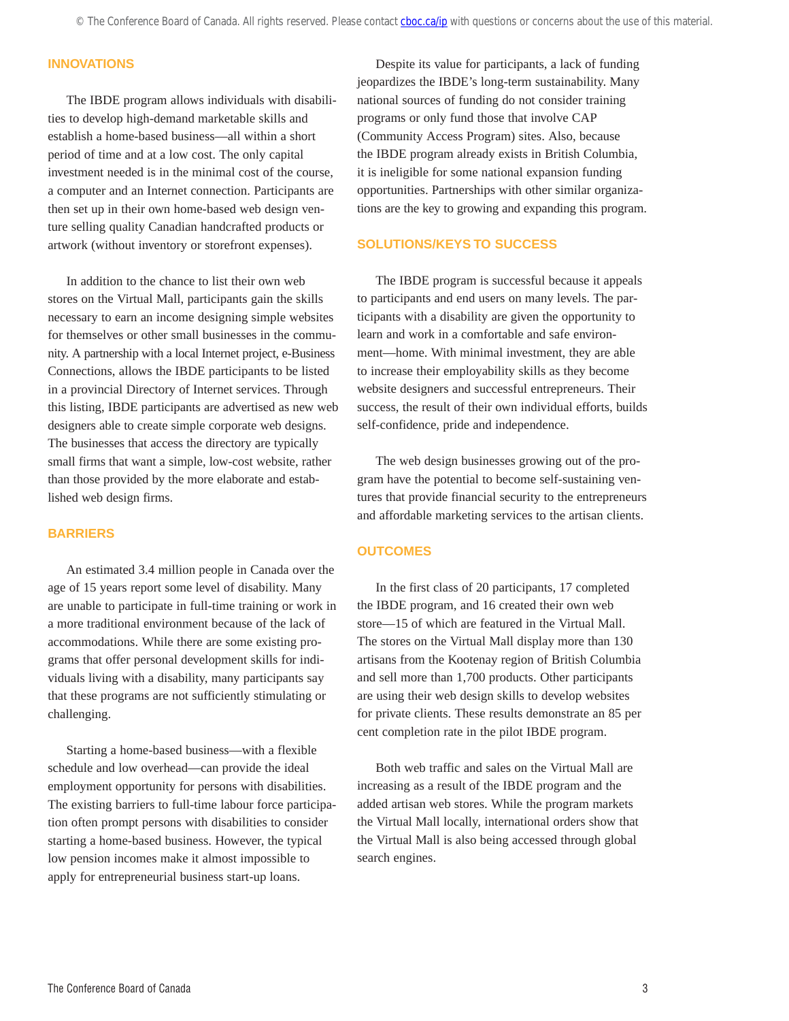#### **INNOVATIONS**

The IBDE program allows individuals with disabilities to develop high-demand marketable skills and establish a home-based business—all within a short period of time and at a low cost. The only capital investment needed is in the minimal cost of the course, a computer and an Internet connection. Participants are then set up in their own home-based web design venture selling quality Canadian handcrafted products or artwork (without inventory or storefront expenses).

In addition to the chance to list their own web stores on the Virtual Mall, participants gain the skills necessary to earn an income designing simple websites for themselves or other small businesses in the community. A partnership with a local Internet project, e-Business Connections, allows the IBDE participants to be listed in a provincial Directory of Internet services. Through this listing, IBDE participants are advertised as new web designers able to create simple corporate web designs. The businesses that access the directory are typically small firms that want a simple, low-cost website, rather than those provided by the more elaborate and established web design firms.

#### **BARRIERS**

An estimated 3.4 million people in Canada over the age of 15 years report some level of disability. Many are unable to participate in full-time training or work in a more traditional environment because of the lack of accommodations. While there are some existing programs that offer personal development skills for individuals living with a disability, many participants say that these programs are not sufficiently stimulating or challenging.

Starting a home-based business—with a flexible schedule and low overhead—can provide the ideal employment opportunity for persons with disabilities. The existing barriers to full-time labour force participation often prompt persons with disabilities to consider starting a home-based business. However, the typical low pension incomes make it almost impossible to apply for entrepreneurial business start-up loans.

Despite its value for participants, a lack of funding jeopardizes the IBDE's long-term sustainability. Many national sources of funding do not consider training programs or only fund those that involve CAP (Community Access Program) sites. Also, because the IBDE program already exists in British Columbia, it is ineligible for some national expansion funding opportunities. Partnerships with other similar organizations are the key to growing and expanding this program.

#### **SOLUTIONS/KEYS TO SUCCESS**

The IBDE program is successful because it appeals to participants and end users on many levels. The participants with a disability are given the opportunity to learn and work in a comfortable and safe environment—home. With minimal investment, they are able to increase their employability skills as they become website designers and successful entrepreneurs. Their success, the result of their own individual efforts, builds self-confidence, pride and independence.

The web design businesses growing out of the program have the potential to become self-sustaining ventures that provide financial security to the entrepreneurs and affordable marketing services to the artisan clients.

#### **OUTCOMES**

In the first class of 20 participants, 17 completed the IBDE program, and 16 created their own web store—15 of which are featured in the Virtual Mall. The stores on the Virtual Mall display more than 130 artisans from the Kootenay region of British Columbia and sell more than 1,700 products. Other participants are using their web design skills to develop websites for private clients. These results demonstrate an 85 per cent completion rate in the pilot IBDE program.

Both web traffic and sales on the Virtual Mall are increasing as a result of the IBDE program and the added artisan web stores. While the program markets the Virtual Mall locally, international orders show that the Virtual Mall is also being accessed through global search engines.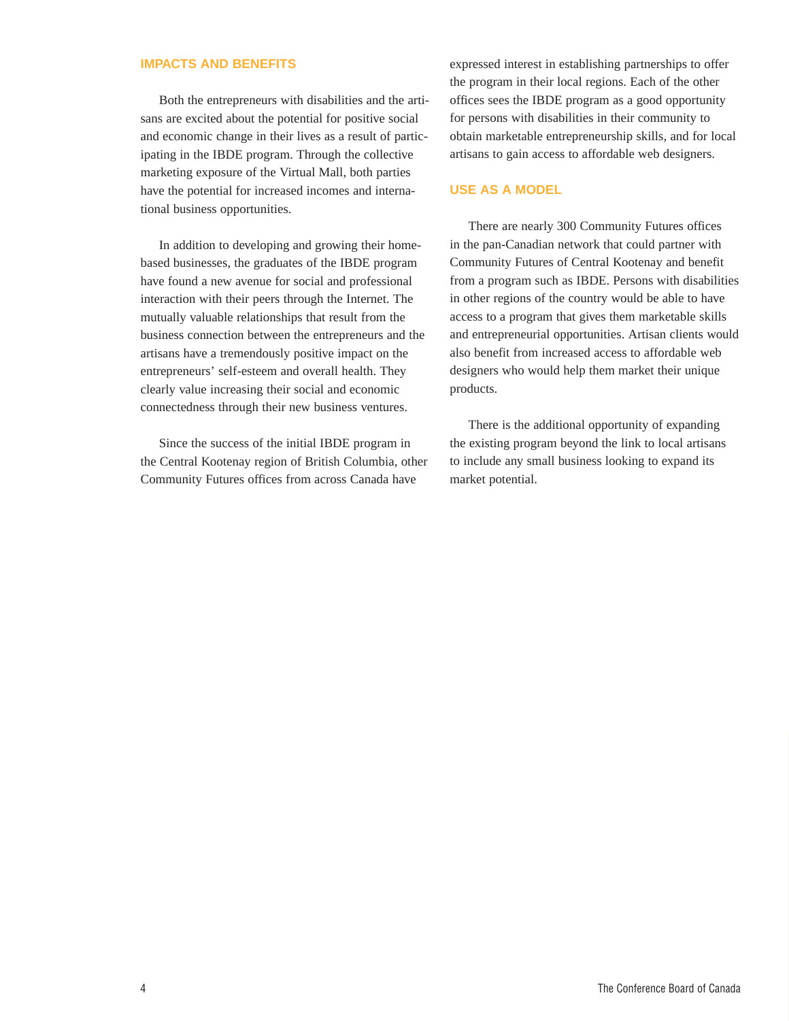#### **IMPACTS AND BENEFITS**

Both the entrepreneurs with disabilities and the artisans are excited about the potential for positive social and economic change in their lives as a result of participating in the IBDE program. Through the collective marketing exposure of the Virtual Mall, both parties have the potential for increased incomes and international business opportunities.

In addition to developing and growing their homebased businesses, the graduates of the IBDE program have found a new avenue for social and professional interaction with their peers through the Internet. The mutually valuable relationships that result from the business connection between the entrepreneurs and the artisans have a tremendously positive impact on the entrepreneurs' self-esteem and overall health. They clearly value increasing their social and economic connectedness through their new business ventures.

Since the success of the initial IBDE program in the Central Kootenay region of British Columbia, other Community Futures offices from across Canada have

expressed interest in establishing partnerships to offer the program in their local regions. Each of the other offices sees the IBDE program as a good opportunity for persons with disabilities in their community to obtain marketable entrepreneurship skills, and for local artisans to gain access to affordable web designers.

#### **USE AS A MODEL**

There are nearly 300 Community Futures offices in the pan-Canadian network that could partner with Community Futures of Central Kootenay and benefit from a program such as IBDE. Persons with disabilities in other regions of the country would be able to have access to a program that gives them marketable skills and entrepreneurial opportunities. Artisan clients would also benefit from increased access to affordable web designers who would help them market their unique products.

There is the additional opportunity of expanding the existing program beyond the link to local artisans to include any small business looking to expand its market potential.